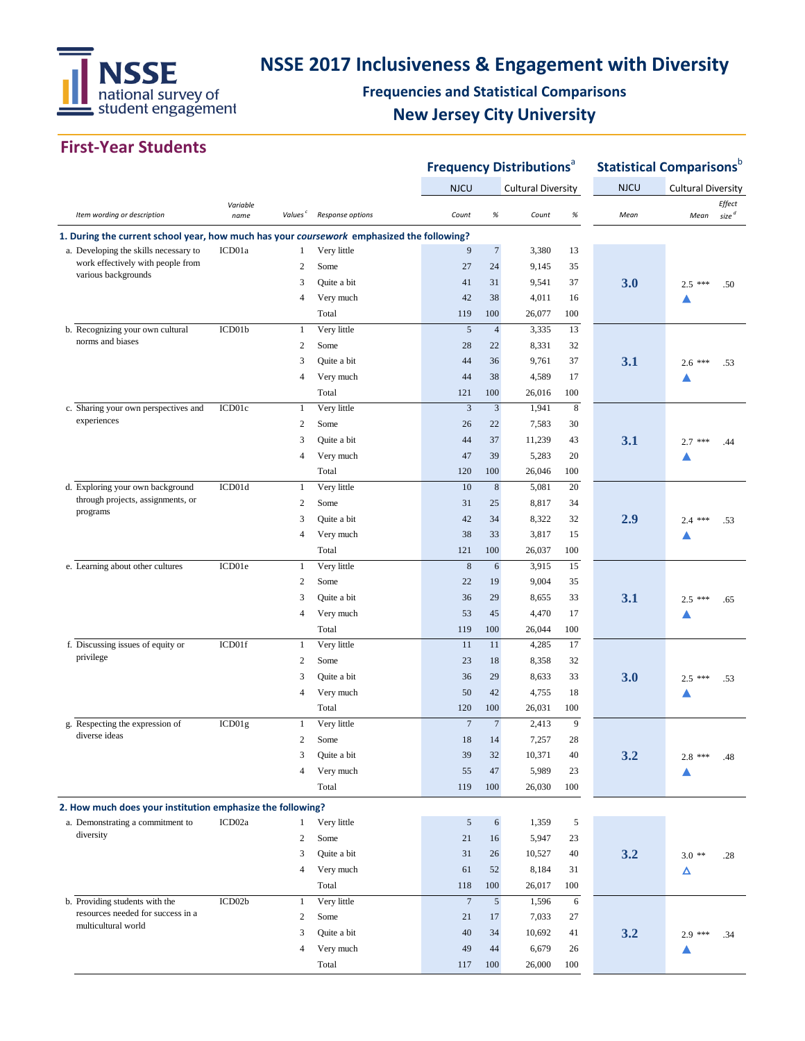

## **Frequencies and Statistical Comparisons New Jersey City University**

## **First-Year Students**

|                                                                                                |                  |                     |                      |                    |                   | <b>Frequency Distributions<sup>a</sup></b> |                |             | <b>Statistical Comparisons</b> <sup>b</sup>      |  |
|------------------------------------------------------------------------------------------------|------------------|---------------------|----------------------|--------------------|-------------------|--------------------------------------------|----------------|-------------|--------------------------------------------------|--|
|                                                                                                |                  |                     |                      | <b>NJCU</b>        |                   | <b>Cultural Diversity</b>                  |                | <b>NJCU</b> | <b>Cultural Diversity</b>                        |  |
| Item wording or description                                                                    | Variable<br>name | Values <sup>c</sup> | Response options     | Count              | $\%$              | Count                                      | $\%$           | Mean        | Effect<br>$\mathit{size}^{\;\mathit{d}}$<br>Mean |  |
| 1. During the current school year, how much has your coursework emphasized the following?      |                  |                     |                      |                    |                   |                                            |                |             |                                                  |  |
| a. Developing the skills necessary to                                                          | ICD01a           | $\mathbf{1}$        | Very little          | 9                  | $\tau$            | 3,380                                      | 13             |             |                                                  |  |
| work effectively with people from<br>various backgrounds                                       |                  | 2                   | Some                 | 27                 | 24                | 9,145                                      | 35             |             |                                                  |  |
|                                                                                                |                  | 3                   | Quite a bit          | 41                 | 31                | 9,541                                      | 37             | 3.0         | $2.5$ ***<br>.50                                 |  |
|                                                                                                |                  | $\overline{4}$      | Very much            | 42                 | 38                | 4,011                                      | 16             |             |                                                  |  |
|                                                                                                |                  |                     | Total                | 119                | 100               | 26,077                                     | 100            |             |                                                  |  |
| b. Recognizing your own cultural                                                               | ICD01b           | $\mathbf{1}$        | Very little          | 5                  | $\overline{4}$    | 3,335                                      | 13             |             |                                                  |  |
| norms and biases                                                                               |                  | 2                   | Some                 | 28                 | 22                | 8,331                                      | 32             |             |                                                  |  |
|                                                                                                |                  | 3                   | Quite a bit          | 44                 | 36                | 9,761                                      | 37             | 3.1         | $2.6$ ***<br>.53                                 |  |
|                                                                                                |                  | $\overline{4}$      | Very much            | 44                 | 38                | 4,589                                      | 17             |             | ▲                                                |  |
|                                                                                                |                  |                     | Total                | 121                | 100               | 26,016                                     | 100            |             |                                                  |  |
| c. Sharing your own perspectives and<br>experiences                                            | ICD01c           | $\mathbf{1}$        | Very little          | 3                  | $\sqrt{3}$        | 1,941                                      | $\,$ 8 $\,$    |             |                                                  |  |
|                                                                                                |                  | 2                   | Some                 | 26                 | 22                | 7,583                                      | 30             |             |                                                  |  |
|                                                                                                |                  | 3                   | Quite a bit          | 44                 | 37                | 11,239                                     | 43             | 3.1         | 2.7<br>***<br>.44                                |  |
|                                                                                                |                  | $\overline{4}$      | Very much            | 47                 | 39                | 5,283                                      | 20             |             |                                                  |  |
|                                                                                                |                  |                     | Total                | 120                | 100               | 26,046                                     | 100            |             |                                                  |  |
| d. Exploring your own background<br>through projects, assignments, or                          | ICD01d           | $\mathbf{1}$        | Very little          | 10                 | $\,$ 8 $\,$       | 5,081                                      | 20             |             |                                                  |  |
| programs                                                                                       |                  | 2                   | Some                 | 31                 | 25                | 8,817                                      | 34             |             |                                                  |  |
|                                                                                                |                  | 3                   | Quite a bit          | 42                 | 34<br>33          | 8,322                                      | 32             | 2.9         | $***$<br>2.4<br>.53                              |  |
|                                                                                                |                  | $\overline{4}$      | Very much            | 38                 |                   | 3,817                                      | 15             |             |                                                  |  |
| e. Learning about other cultures                                                               | ICD01e           | $\mathbf{1}$        | Total<br>Very little | 121<br>$\,$ 8 $\,$ | 100<br>$\sqrt{6}$ | 26,037<br>3,915                            | 100<br>15      |             |                                                  |  |
|                                                                                                |                  | 2                   | Some                 | 22                 | 19                | 9,004                                      | 35             |             |                                                  |  |
|                                                                                                |                  | 3                   | Quite a bit          | 36                 | 29                | 8,655                                      | 33             |             |                                                  |  |
|                                                                                                |                  | $\overline{4}$      | Very much            | 53                 | 45                | 4,470                                      | 17             | 3.1         | 2.5<br>***<br>.65                                |  |
|                                                                                                |                  |                     | Total                | 119                | 100               | 26,044                                     | 100            |             |                                                  |  |
| f. Discussing issues of equity or                                                              | ICD01f           | $\mathbf{1}$        | Very little          | 11                 | 11                | 4,285                                      | 17             |             |                                                  |  |
| privilege                                                                                      |                  | 2                   | Some                 | 23                 | 18                | 8,358                                      | 32             |             |                                                  |  |
|                                                                                                |                  | 3                   | Quite a bit          | 36                 | 29                | 8,633                                      | 33             | 3.0         | 2.5<br>***                                       |  |
|                                                                                                |                  | 4                   | Very much            | 50                 | 42                | 4,755                                      | 18             |             | .53                                              |  |
|                                                                                                |                  |                     | Total                | 120                | 100               | 26,031                                     | 100            |             |                                                  |  |
| g. Respecting the expression of                                                                | ICD01g           | 1                   | Very little          | $\boldsymbol{7}$   | $\boldsymbol{7}$  | 2,413                                      | $\overline{9}$ |             |                                                  |  |
| diverse ideas                                                                                  |                  | 2                   | Some                 | 18                 | 14                | 7,257                                      | 28             |             |                                                  |  |
|                                                                                                |                  | 3                   | Quite a bit          | 39                 | 32                | 10,371                                     | 40             | 3.2         | 2.8<br>***<br>.48                                |  |
|                                                                                                |                  | 4                   | Very much            | 55                 | 47                | 5,989                                      | 23             |             | ▲                                                |  |
|                                                                                                |                  |                     | Total                | 119                | 100               | 26,030                                     | 100            |             |                                                  |  |
|                                                                                                |                  |                     |                      |                    |                   |                                            |                |             |                                                  |  |
| 2. How much does your institution emphasize the following?<br>a. Demonstrating a commitment to | ICD02a           | $\mathbf{1}$        | Very little          | 5                  | 6                 | 1,359                                      | 5              |             |                                                  |  |
| diversity                                                                                      |                  | $\overline{c}$      | Some                 | 21                 | 16                | 5,947                                      | 23             |             |                                                  |  |
|                                                                                                |                  | 3                   | Quite a bit          | 31                 | 26                | 10,527                                     | 40             | 3.2         |                                                  |  |
|                                                                                                |                  | 4                   | Very much            | 61                 | 52                | 8,184                                      | 31             |             | $3.0$ **<br>.28<br>Δ                             |  |
|                                                                                                |                  |                     | Total                | 118                | 100               | 26,017                                     | 100            |             |                                                  |  |
| b. Providing students with the                                                                 | ICD02b           | $\mathbf{1}$        | Very little          | $7\phantom{.0}$    | $\mathfrak{S}$    | 1,596                                      | $\sqrt{6}$     |             |                                                  |  |
| resources needed for success in a                                                              |                  | 2                   | Some                 | 21                 | 17                | 7,033                                      | 27             |             |                                                  |  |
| multicultural world                                                                            |                  | 3                   | Quite a bit          | 40                 | 34                | 10,692                                     | 41             | 3.2         | $2.9***$                                         |  |
|                                                                                                |                  | 4                   | Very much            | 49                 | 44                | 6,679                                      | 26             |             | .34                                              |  |
|                                                                                                |                  |                     | Total                | 117                | 100               | 26,000                                     | 100            |             |                                                  |  |
|                                                                                                |                  |                     |                      |                    |                   |                                            |                |             |                                                  |  |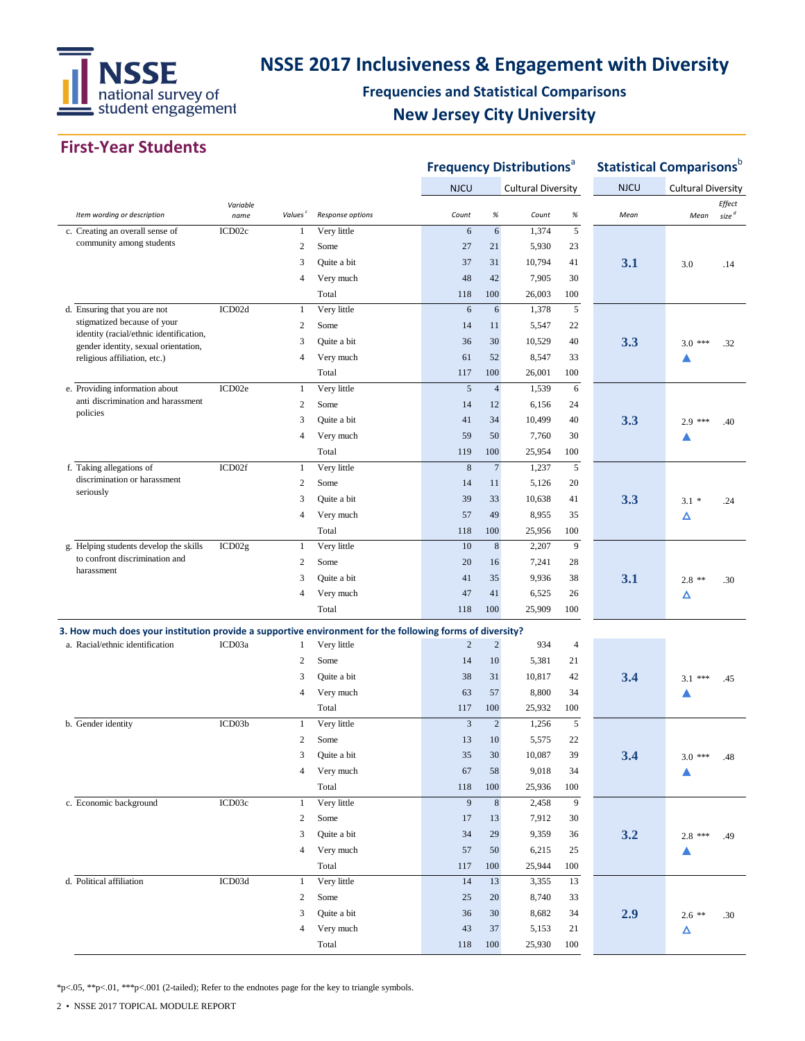

### **Frequencies and Statistical Comparisons New Jersey City University**

### **First-Year Students**

|  |                                                                                                          |                  |                     |                  | <b>Frequency Distributions</b> <sup>a</sup> |                 |                           | <b>Statistical Comparisons</b> <sup>b</sup> |             |                           |                             |
|--|----------------------------------------------------------------------------------------------------------|------------------|---------------------|------------------|---------------------------------------------|-----------------|---------------------------|---------------------------------------------|-------------|---------------------------|-----------------------------|
|  |                                                                                                          |                  |                     |                  | <b>NJCU</b>                                 |                 | <b>Cultural Diversity</b> |                                             | <b>NJCU</b> | <b>Cultural Diversity</b> |                             |
|  | Item wording or description                                                                              | Variable<br>name | Values <sup>c</sup> | Response options | Count                                       | $\%$            | Count                     | $\%$                                        | Mean        | Mean                      | Effect<br>size <sup>d</sup> |
|  | c. Creating an overall sense of                                                                          | ICD02c           | $\mathbf{1}$        | Very little      | 6                                           | 6               | 1,374                     | 5                                           |             |                           |                             |
|  | community among students                                                                                 |                  | 2                   | Some             | 27                                          | 21              | 5,930                     | 23                                          |             |                           |                             |
|  |                                                                                                          |                  | 3                   | Quite a bit      | 37                                          | 31              | 10,794                    | 41                                          | 3.1         | 3.0                       | .14                         |
|  |                                                                                                          |                  | 4                   | Very much        | 48                                          | 42              | 7,905                     | 30                                          |             |                           |                             |
|  |                                                                                                          |                  |                     | Total            | 118                                         | 100             | 26,003                    | 100                                         |             |                           |                             |
|  | d. Ensuring that you are not                                                                             | ICD02d           | $\mathbf{1}$        | Very little      | 6                                           | 6               | 1,378                     | 5                                           |             |                           |                             |
|  | stigmatized because of your<br>identity (racial/ethnic identification,                                   |                  | 2                   | Some             | 14                                          | 11              | 5,547                     | 22                                          |             |                           |                             |
|  | gender identity, sexual orientation,                                                                     |                  | 3                   | Quite a bit      | 36                                          | 30              | 10,529                    | 40                                          | 3.3         | $3.0***$                  | .32                         |
|  | religious affiliation, etc.)                                                                             |                  | 4                   | Very much        | 61                                          | 52              | 8,547                     | 33                                          |             |                           |                             |
|  |                                                                                                          |                  |                     | Total            | 117                                         | 100             | 26,001                    | 100                                         |             |                           |                             |
|  | e. Providing information about                                                                           | ICD02e           | $\mathbf{1}$        | Very little      | 5                                           | $\overline{4}$  | 1,539                     | 6                                           |             |                           |                             |
|  | anti discrimination and harassment<br>policies                                                           |                  | 2                   | Some             | 14                                          | 12              | 6,156                     | 24                                          |             |                           |                             |
|  |                                                                                                          |                  | 3                   | Quite a bit      | 41                                          | 34              | 10,499                    | 40                                          | 3.3         | $2.9***$                  | .40                         |
|  |                                                                                                          |                  | 4                   | Very much        | 59                                          | 50              | 7,760                     | 30                                          |             |                           |                             |
|  |                                                                                                          |                  |                     | Total            | 119                                         | 100             | 25,954                    | 100                                         |             |                           |                             |
|  | f. Taking allegations of                                                                                 | ICD02f           | $\mathbf{1}$        | Very little      | 8                                           | $7\phantom{.0}$ | 1,237                     | 5                                           |             |                           |                             |
|  | discrimination or harassment                                                                             |                  | 2                   | Some             | 14                                          | 11              | 5,126                     | 20                                          |             |                           |                             |
|  | seriously                                                                                                |                  | 3                   | Quite a bit      | 39                                          | 33              | 10,638                    | 41                                          | 3.3         | $3.1*$                    | .24                         |
|  |                                                                                                          |                  | 4                   | Very much        | 57                                          | 49              | 8,955                     | 35                                          |             | Δ                         |                             |
|  |                                                                                                          |                  |                     | Total            | 118                                         | 100             | 25,956                    | 100                                         |             |                           |                             |
|  | g. Helping students develop the skills                                                                   | ICD02g           | $\mathbf{1}$        | Very little      | 10                                          | $\,8\,$         | 2,207                     | 9                                           |             |                           |                             |
|  | to confront discrimination and                                                                           |                  | 2                   | Some             | 20                                          | 16              | 7,241                     | 28                                          |             |                           |                             |
|  | harassment                                                                                               |                  | 3                   | Quite a bit      | 41                                          | 35              | 9,936                     | 38                                          | 3.1         | $2.8$ **                  | .30                         |
|  |                                                                                                          |                  | 4                   | Very much        | 47                                          | 41              | 6,525                     | 26                                          |             | Δ                         |                             |
|  |                                                                                                          |                  |                     | Total            | 118                                         | 100             | 25,909                    | 100                                         |             |                           |                             |
|  | 3. How much does your institution provide a supportive environment for the following forms of diversity? |                  |                     |                  |                                             |                 |                           |                                             |             |                           |                             |
|  | a. Racial/ethnic identification                                                                          | ICD03a           | 1                   | Very little      | $\sqrt{2}$                                  | $\overline{c}$  | 934                       | $\overline{4}$                              |             |                           |                             |
|  |                                                                                                          |                  | 2                   | Some             | 14                                          | 10              | 5,381                     | 21                                          |             |                           |                             |
|  |                                                                                                          |                  | 3                   | Quite a bit      | 38                                          | 31              | 10,817                    | 42                                          | 3.4         | ***<br>3.1                | .45                         |
|  |                                                                                                          |                  | $\overline{4}$      | Very much        | 63                                          | 57              | 8,800                     | 34                                          |             |                           |                             |
|  |                                                                                                          |                  |                     | Total            | 117                                         | 100             | 25,932                    | 100                                         |             |                           |                             |
|  | b. Gender identity                                                                                       | ICD03b           | 1                   | Very little      | 3                                           | $\overline{c}$  | 1,256                     | $\sqrt{5}$                                  |             |                           |                             |
|  |                                                                                                          |                  | $\overline{c}$      | Some             | 13                                          | 10              | 5,575                     | 22                                          |             |                           |                             |
|  |                                                                                                          |                  | 3                   | Quite a bit      | 35                                          | 30              | 10,087                    | 39                                          | 3.4         | $3.0***$                  | .48                         |
|  |                                                                                                          |                  | 4                   | Very much        | 67                                          | 58              | 9,018                     | 34                                          |             | ▲                         |                             |
|  |                                                                                                          |                  |                     | Total            | 118                                         | 100             | 25,936                    | 100                                         |             |                           |                             |
|  | c. Economic background                                                                                   | ICD03c           | $\mathbf{1}$        | Very little      | $\overline{9}$                              | $\bf 8$         | 2,458                     | $\overline{9}$                              |             |                           |                             |
|  |                                                                                                          |                  | $\overline{c}$      | Some             | 17                                          | 13              | 7,912                     | 30                                          |             |                           |                             |
|  |                                                                                                          |                  | 3                   | Quite a bit      | 34                                          | 29              | 9,359                     | 36                                          | 3.2         | $2.8$ ***                 | .49                         |
|  |                                                                                                          |                  | $\overline{4}$      | Very much        | 57                                          | 50              | 6,215                     | 25                                          |             | ▲                         |                             |
|  |                                                                                                          |                  |                     | Total            | 117                                         | 100             | 25,944                    | 100                                         |             |                           |                             |
|  | d. Political affiliation                                                                                 | ICD03d           | $\mathbf{1}$        | Very little      | 14                                          | 13              | 3,355                     | 13                                          |             |                           |                             |
|  |                                                                                                          |                  | $\overline{c}$      | Some             | 25                                          | 20              | 8,740                     | 33                                          |             |                           |                             |
|  |                                                                                                          |                  | 3                   | Quite a bit      | 36                                          | 30              | 8,682                     | 34                                          | 2.9         | $2.6$ **                  | .30                         |
|  |                                                                                                          |                  | 4                   | Very much        | 43                                          | 37              | 5,153                     | 21                                          |             | Δ                         |                             |
|  |                                                                                                          |                  |                     | Total            | 118                                         | 100             | 25,930                    | 100                                         |             |                           |                             |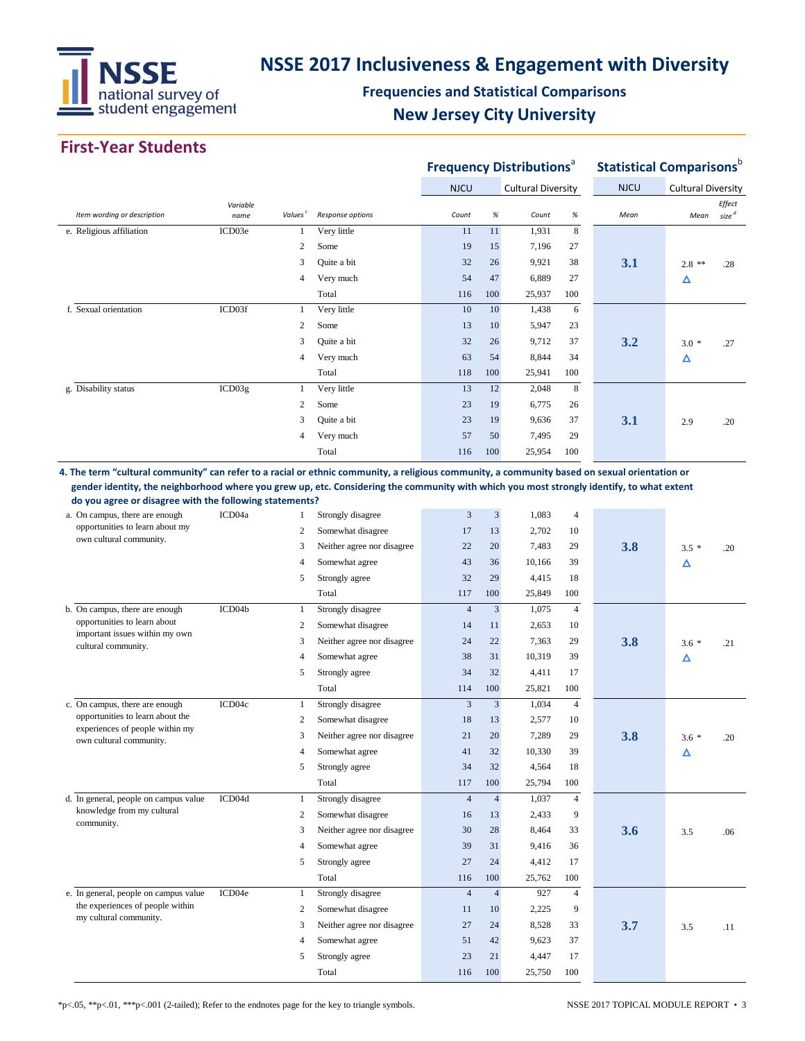

### **Frequencies and Statistical Comparisons New Jersey City University**

#### **First-Year Students**

|                                                                                                                                               |                  |                     |                  |             |      | <b>Frequency Distributions<sup>ª</sup></b> |      | <b>Statistical Comparisons</b> b |                           |                             |
|-----------------------------------------------------------------------------------------------------------------------------------------------|------------------|---------------------|------------------|-------------|------|--------------------------------------------|------|----------------------------------|---------------------------|-----------------------------|
|                                                                                                                                               |                  |                     |                  | <b>NJCU</b> |      | <b>Cultural Diversity</b>                  |      | <b>NJCU</b>                      | <b>Cultural Diversity</b> |                             |
| Item wording or description                                                                                                                   | Variable<br>name | Values <sup>c</sup> | Response options | Count       | $\%$ | Count                                      | $\%$ | Mean                             | Mean                      | Effect<br>size <sup>d</sup> |
| e. Religious affiliation                                                                                                                      | ICD03e           |                     | Very little      | 11          | 11   | 1,931                                      | 8    |                                  |                           |                             |
|                                                                                                                                               |                  | 2                   | Some             | 19          | 15   | 7,196                                      | 27   |                                  |                           |                             |
|                                                                                                                                               |                  | 3                   | Quite a bit      | 32          | 26   | 9,921                                      | 38   | 3.1                              | $2.8$ **                  | .28                         |
|                                                                                                                                               |                  | 4                   | Very much        | 54          | 47   | 6,889                                      | 27   |                                  | Δ                         |                             |
|                                                                                                                                               |                  |                     | Total            | 116         | 100  | 25,937                                     | 100  |                                  |                           |                             |
| f. Sexual orientation                                                                                                                         | ICD03f           |                     | Very little      | 10          | 10   | 1,438                                      | 6    |                                  |                           |                             |
|                                                                                                                                               |                  | 2                   | Some             | 13          | 10   | 5,947                                      | 23   |                                  |                           |                             |
|                                                                                                                                               |                  | 3                   | Quite a bit      | 32          | 26   | 9,712                                      | 37   | 3.2                              | $3.0*$                    | .27                         |
|                                                                                                                                               |                  | 4                   | Very much        | 63          | 54   | 8,844                                      | 34   |                                  | Δ                         |                             |
|                                                                                                                                               |                  |                     | Total            | 118         | 100  | 25,941                                     | 100  |                                  |                           |                             |
| g. Disability status                                                                                                                          | ICD03g           |                     | Very little      | 13          | 12   | 2,048                                      | 8    |                                  |                           |                             |
|                                                                                                                                               |                  | 2                   | Some             | 23          | 19   | 6,775                                      | 26   |                                  |                           |                             |
|                                                                                                                                               |                  | 3                   | Quite a bit      | 23          | 19   | 9,636                                      | 37   | 3.1                              | 2.9                       | .20                         |
|                                                                                                                                               |                  | 4                   | Very much        | 57          | 50   | 7,495                                      | 29   |                                  |                           |                             |
|                                                                                                                                               |                  |                     | Total            | 116         | 100  | 25,954                                     | 100  |                                  |                           |                             |
| 4. The term "cultural community" can refer to a racial or ethnic community, a religious community, a community based on sexual orientation or |                  |                     |                  |             |      |                                            |      |                                  |                           |                             |

 **gender identity, the neighborhood where you grew up, etc. Considering the community with which you most strongly identify, to what extent do you agree or disagree with the following statements?**

| $\sim$ 0.000 $\sim$ 0.000 $\sim$ 0.000 $\sim$ 0.000 $\sim$ 0.000 $\sim$ 0.000 $\sim$ 0.000 $\sim$ 0.000 $\sim$ 0.000 $\sim$ 0.000 $\sim$ 0.000 $\sim$ 0.000 $\sim$ 0.000 $\sim$ 0.000 $\sim$ 0.000 $\sim$ 0.000 $\sim$ 0.000 $\sim$ 0.000 $\sim$ 0.000 $\sim$ 0.000 |        |                |                            |                |                |        |                |     |        |     |
|---------------------------------------------------------------------------------------------------------------------------------------------------------------------------------------------------------------------------------------------------------------------|--------|----------------|----------------------------|----------------|----------------|--------|----------------|-----|--------|-----|
| a. On campus, there are enough                                                                                                                                                                                                                                      | ICD04a | $\mathbf{1}$   | Strongly disagree          | 3              | 3              | 1,083  | $\overline{4}$ |     |        |     |
| opportunities to learn about my                                                                                                                                                                                                                                     |        | $\overline{2}$ | Somewhat disagree          | 17             | 13             | 2,702  | 10             |     |        |     |
| own cultural community.                                                                                                                                                                                                                                             |        | 3              | Neither agree nor disagree | 22             | 20             | 7.483  | 29             | 3.8 | $3.5*$ | .20 |
|                                                                                                                                                                                                                                                                     |        | 4              | Somewhat agree             | 43             | 36             | 10,166 | 39             |     | Δ      |     |
|                                                                                                                                                                                                                                                                     |        | 5              | Strongly agree             | 32             | 29             | 4,415  | 18             |     |        |     |
|                                                                                                                                                                                                                                                                     |        |                | Total                      | 117            | 100            | 25,849 | 100            |     |        |     |
| b. On campus, there are enough                                                                                                                                                                                                                                      | ICD04b | $\mathbf{1}$   | Strongly disagree          | $\overline{4}$ | 3              | 1,075  | $\overline{4}$ |     |        |     |
| opportunities to learn about                                                                                                                                                                                                                                        |        | $\overline{2}$ | Somewhat disagree          | 14             | 11             | 2,653  | 10             |     |        |     |
| important issues within my own<br>cultural community.                                                                                                                                                                                                               |        | 3              | Neither agree nor disagree | 24             | 22             | 7,363  | 29             | 3.8 | $3.6*$ | .21 |
|                                                                                                                                                                                                                                                                     |        | 4              | Somewhat agree             | 38             | 31             | 10,319 | 39             |     | Δ      |     |
|                                                                                                                                                                                                                                                                     |        | 5              | Strongly agree             | 34             | 32             | 4,411  | 17             |     |        |     |
|                                                                                                                                                                                                                                                                     |        |                | Total                      | 114            | 100            | 25,821 | 100            |     |        |     |
| c. On campus, there are enough<br>opportunities to learn about the                                                                                                                                                                                                  | ICD04c | 1              | Strongly disagree          | $\overline{3}$ | $\mathbf{3}$   | 1,034  | $\overline{4}$ |     |        |     |
|                                                                                                                                                                                                                                                                     |        | 2              | Somewhat disagree          | 18             | 13             | 2,577  | 10             |     |        |     |
| experiences of people within my<br>own cultural community.                                                                                                                                                                                                          |        | 3              | Neither agree nor disagree | 21             | 20             | 7,289  | 29             | 3.8 | $3.6*$ | .20 |
|                                                                                                                                                                                                                                                                     |        | 4              | Somewhat agree             | 41             | 32             | 10,330 | 39             |     | Δ      |     |
|                                                                                                                                                                                                                                                                     |        | 5              | Strongly agree             | 34             | 32             | 4,564  | 18             |     |        |     |
|                                                                                                                                                                                                                                                                     |        |                | Total                      | 117            | 100            | 25,794 | 100            |     |        |     |
| d. In general, people on campus value                                                                                                                                                                                                                               | ICD04d | 1              | Strongly disagree          | $\overline{4}$ | $\overline{4}$ | 1,037  | $\overline{4}$ |     |        |     |
| knowledge from my cultural                                                                                                                                                                                                                                          |        | $\overline{c}$ | Somewhat disagree          | 16             | 13             | 2,433  | 9              |     |        |     |
| community.                                                                                                                                                                                                                                                          |        | 3              | Neither agree nor disagree | 30             | 28             | 8,464  | 33             | 3.6 | 3.5    | .06 |
|                                                                                                                                                                                                                                                                     |        | 4              | Somewhat agree             | 39             | 31             | 9,416  | 36             |     |        |     |
|                                                                                                                                                                                                                                                                     |        | 5              | Strongly agree             | 27             | 24             | 4,412  | 17             |     |        |     |
|                                                                                                                                                                                                                                                                     |        |                | Total                      | 116            | 100            | 25,762 | 100            |     |        |     |
| e. In general, people on campus value                                                                                                                                                                                                                               | ICD04e | 1              | Strongly disagree          | $\overline{4}$ | $\overline{4}$ | 927    | $\overline{4}$ |     |        |     |
| the experiences of people within<br>my cultural community.                                                                                                                                                                                                          |        | 2              | Somewhat disagree          | 11             | 10             | 2,225  | 9              |     |        |     |
|                                                                                                                                                                                                                                                                     |        | 3              | Neither agree nor disagree | 27             | 24             | 8,528  | 33             | 3.7 | 3.5    | .11 |
|                                                                                                                                                                                                                                                                     |        | 4              | Somewhat agree             | 51             | 42             | 9,623  | 37             |     |        |     |
|                                                                                                                                                                                                                                                                     |        | 5              | Strongly agree             | 23             | 21             | 4,447  | 17             |     |        |     |
|                                                                                                                                                                                                                                                                     |        |                | Total                      | 116            | 100            | 25,750 | 100            |     |        |     |
|                                                                                                                                                                                                                                                                     |        |                |                            |                |                |        |                |     |        |     |

\*p<.05, \*\*p<.01, \*\*\*p<.001 (2-tailed); Refer to the endnotes page for the key to triangle symbols. NSSE 2017 TOPICAL MODULE REPORT • 3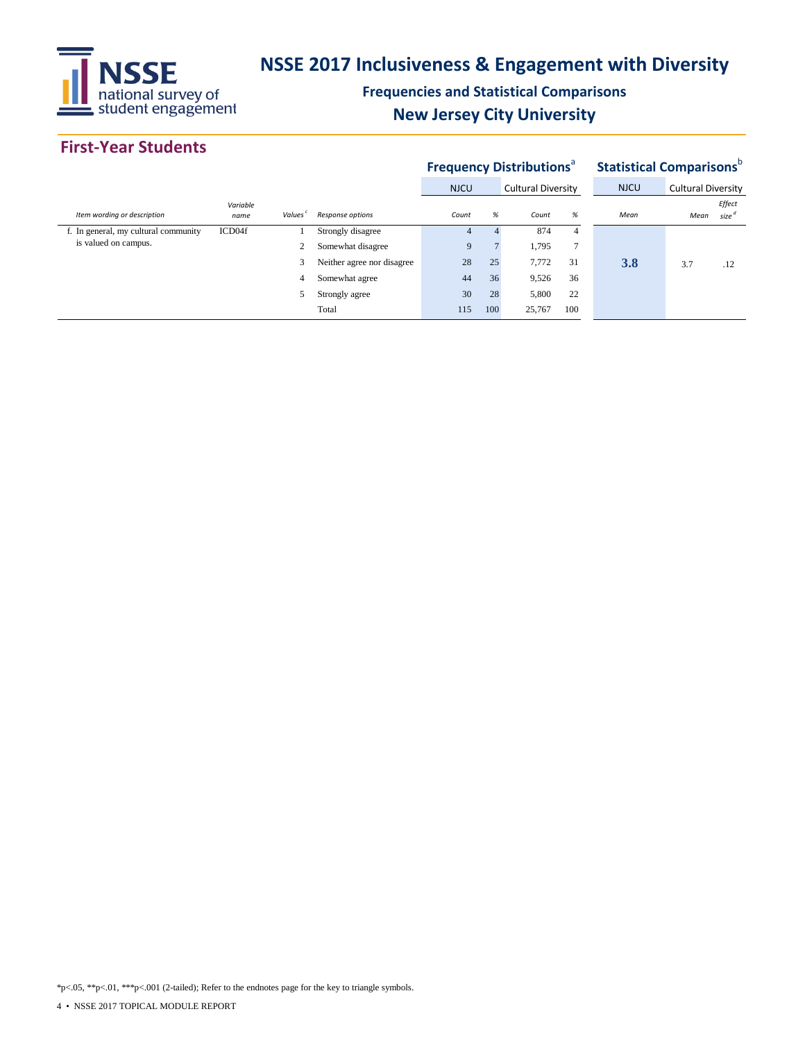

### **Frequencies and Statistical Comparisons New Jersey City University**

#### **First-Year Students**

|                                      |                  |                     |                            |             |     | <b>Frequency Distributions<sup>ª</sup></b> |                | <b>Statistical Comparisons</b> b |                           |                             |
|--------------------------------------|------------------|---------------------|----------------------------|-------------|-----|--------------------------------------------|----------------|----------------------------------|---------------------------|-----------------------------|
|                                      |                  |                     |                            | <b>NJCU</b> |     | <b>Cultural Diversity</b>                  |                | <b>NJCU</b>                      | <b>Cultural Diversity</b> |                             |
| Item wording or description          | Variable<br>name | Values <sup>c</sup> | Response options           | Count       | %   | Count                                      | $\%$           | Mean                             | Mean                      | Effect<br>size <sup>d</sup> |
| f. In general, my cultural community | ICD04f           |                     | Strongly disagree          | 4           | 4   | 874                                        | $\overline{4}$ |                                  |                           |                             |
| is valued on campus.                 |                  | 2                   | Somewhat disagree          | 9           |     | 1,795                                      | $\overline{7}$ |                                  |                           |                             |
|                                      |                  | 3                   | Neither agree nor disagree | 28          | 25  | 7,772                                      | 31             | 3.8                              | 3.7                       | .12                         |
|                                      |                  | 4                   | Somewhat agree             | 44          | 36  | 9,526                                      | 36             |                                  |                           |                             |
|                                      |                  |                     | Strongly agree             | 30          | 28  | 5,800                                      | 22             |                                  |                           |                             |
|                                      |                  |                     | Total                      | 115         | 100 | 25,767                                     | 100            |                                  |                           |                             |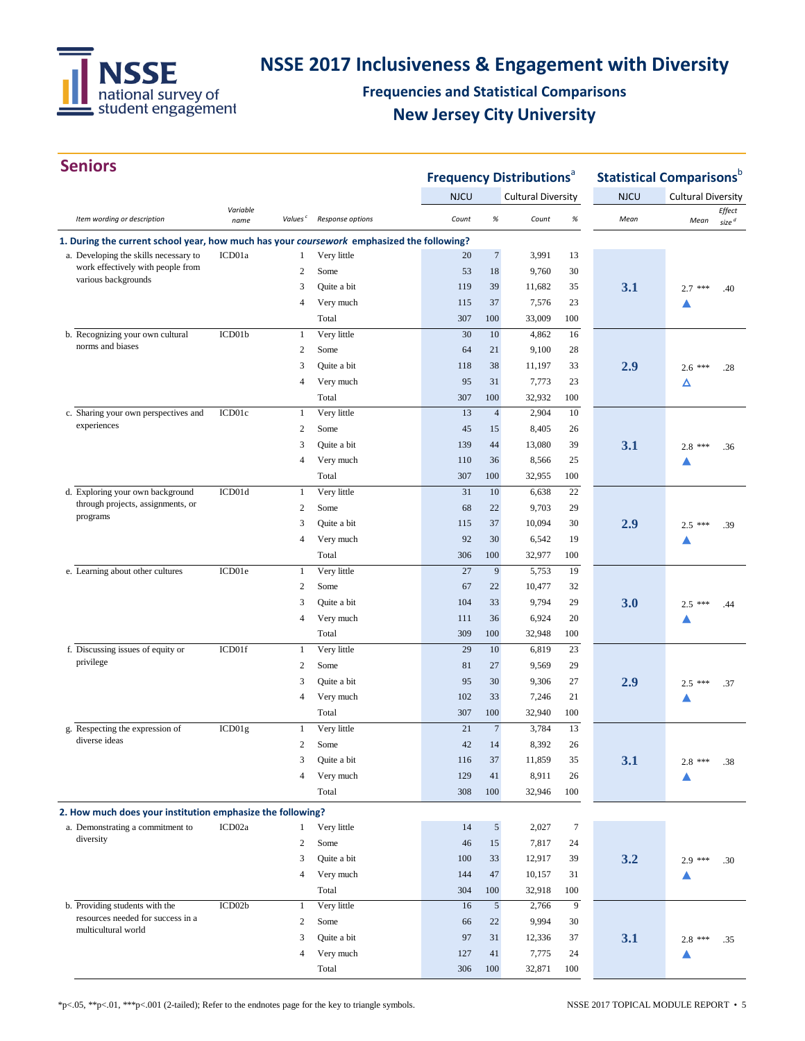

## **Frequencies and Statistical Comparisons New Jersey City University**

| <b>Seniors</b>                                                                            |          |                     |                  |             |                  | <b>Frequency Distributions<sup>a</sup></b> |                | <b>Statistical Comparisons</b> <sup>b</sup> |                           |                   |
|-------------------------------------------------------------------------------------------|----------|---------------------|------------------|-------------|------------------|--------------------------------------------|----------------|---------------------------------------------|---------------------------|-------------------|
|                                                                                           |          |                     |                  |             |                  |                                            |                |                                             |                           |                   |
|                                                                                           | Variable |                     |                  | <b>NJCU</b> |                  | <b>Cultural Diversity</b>                  |                | <b>NJCU</b>                                 | <b>Cultural Diversity</b> | Effect            |
| Item wording or description                                                               | name     | Values <sup>c</sup> | Response options | Count       | $\%$             | Count                                      | $\%$           | Mean                                        | Mean                      | size <sup>d</sup> |
| 1. During the current school year, how much has your coursework emphasized the following? |          |                     |                  |             |                  |                                            |                |                                             |                           |                   |
| a. Developing the skills necessary to                                                     | ICD01a   | 1                   | Very little      | 20          | $\boldsymbol{7}$ | 3,991                                      | 13             |                                             |                           |                   |
| work effectively with people from                                                         |          | $\boldsymbol{2}$    | Some             | 53          | 18               | 9,760                                      | 30             |                                             |                           |                   |
| various backgrounds                                                                       |          | 3                   | Quite a bit      | 119         | 39               | 11,682                                     | 35             | 3.1                                         | 2.7<br>***                | .40               |
|                                                                                           |          | 4                   | Very much        | 115         | 37               | 7,576                                      | 23             |                                             |                           |                   |
|                                                                                           |          |                     | Total            | 307         | 100              | 33,009                                     | 100            |                                             |                           |                   |
| b. Recognizing your own cultural                                                          | ICD01b   | $\mathbf{1}$        | Very little      | 30          | 10               | 4,862                                      | 16             |                                             |                           |                   |
| norms and biases                                                                          |          | $\boldsymbol{2}$    | Some             | 64          | 21               | 9,100                                      | 28             |                                             |                           |                   |
|                                                                                           |          | 3                   | Quite a bit      | 118         | 38               | 11,197                                     | 33             | 2.9                                         | ***<br>2.6                | .28               |
|                                                                                           |          | 4                   | Very much        | 95          | 31               | 7,773                                      | 23             |                                             | Δ                         |                   |
|                                                                                           |          |                     | Total            | 307         | 100              | 32,932                                     | 100            |                                             |                           |                   |
| c. Sharing your own perspectives and                                                      | ICD01c   | $\mathbf{1}$        | Very little      | 13          | $\overline{4}$   | 2,904                                      | 10             |                                             |                           |                   |
| experiences                                                                               |          | 2                   | Some             | 45          | 15               | 8,405                                      | 26             |                                             |                           |                   |
|                                                                                           |          | 3                   | Quite a bit      | 139         | 44               | 13,080                                     | 39             | 3.1                                         | 2.8<br>***                | .36               |
|                                                                                           |          | 4                   | Very much        | 110         | 36               | 8,566                                      | 25             |                                             |                           |                   |
|                                                                                           |          |                     | Total            | 307         | 100              | 32,955                                     | 100            |                                             |                           |                   |
| d. Exploring your own background                                                          | ICD01d   | $\mathbf{1}$        | Very little      | 31          | 10               | 6,638                                      | 22             |                                             |                           |                   |
| through projects, assignments, or<br>programs                                             |          | $\overline{2}$      | Some             | 68          | 22               | 9,703                                      | 29             |                                             |                           |                   |
|                                                                                           |          | 3                   | Quite a bit      | 115         | 37               | 10,094                                     | 30             | 2.9                                         | 2.5<br>***                | .39               |
|                                                                                           |          | 4                   | Very much        | 92          | 30               | 6,542                                      | 19             |                                             |                           |                   |
|                                                                                           |          |                     | Total            | 306         | 100              | 32,977                                     | 100            |                                             |                           |                   |
| e. Learning about other cultures                                                          | ICD01e   | $\mathbf{1}$        | Very little      | 27          | $\boldsymbol{9}$ | 5,753                                      | 19             |                                             |                           |                   |
|                                                                                           |          | 2                   | Some             | 67          | 22               | 10,477                                     | 32             |                                             |                           |                   |
|                                                                                           |          | 3                   | Quite a bit      | 104         | 33               | 9,794                                      | 29             | 3.0                                         | 2.5<br>***                | .44               |
|                                                                                           |          | 4                   | Very much        | 111         | 36               | 6,924                                      | 20             |                                             |                           |                   |
|                                                                                           |          |                     | Total            | 309         | 100              | 32,948                                     | 100            |                                             |                           |                   |
| f. Discussing issues of equity or                                                         | ICD01f   | $\mathbf{1}$        | Very little      | 29          | 10               | 6,819                                      | 23             |                                             |                           |                   |
| privilege                                                                                 |          | 2                   | Some             | 81          | 27               | 9,569                                      | 29             |                                             |                           |                   |
|                                                                                           |          | 3                   | Quite a bit      | 95          | 30               | 9,306                                      | 27             | 2.9                                         | 2.5<br>***                | .37               |
|                                                                                           |          | 4                   | Very much        | 102         | 33               | 7,246                                      | 21             |                                             |                           |                   |
|                                                                                           |          |                     | Total            | 307         | 100              | 32,940                                     | 100            |                                             |                           |                   |
| g. Respecting the expression of                                                           | ICD01g   | $\mathbf{1}$        | Very little      | 21          | $\overline{7}$   | 3,784                                      | 13             |                                             |                           |                   |
| diverse ideas                                                                             |          | $\overline{2}$      | Some             | 42          | 14               | 8,392                                      | 26             |                                             |                           |                   |
|                                                                                           |          | 3                   | Quite a bit      | 116         | 37               | 11,859                                     | 35             | 3.1                                         | $2.8$ ***                 | .38               |
|                                                                                           |          | 4                   | Very much        | 129         | 41               | 8,911                                      | 26             |                                             |                           |                   |
|                                                                                           |          |                     | Total            | 308         | 100              | 32,946                                     | 100            |                                             |                           |                   |
| 2. How much does your institution emphasize the following?                                |          |                     |                  |             |                  |                                            |                |                                             |                           |                   |
| a. Demonstrating a commitment to                                                          | ICD02a   | $\mathbf{1}$        | Very little      | 14          | 5                | 2,027                                      | $\tau$         |                                             |                           |                   |
| diversity                                                                                 |          | $\boldsymbol{2}$    | Some             | 46          | 15               | 7,817                                      | 24             |                                             |                           |                   |
|                                                                                           |          | 3                   | Quite a bit      | 100         | 33               | 12,917                                     | 39             | 3.2                                         | $2.9***$                  | .30               |
|                                                                                           |          | 4                   | Very much        | 144         | 47               | 10,157                                     | 31             |                                             |                           |                   |
|                                                                                           |          |                     | Total            | 304         | 100              | 32,918                                     | 100            |                                             |                           |                   |
| b. Providing students with the                                                            | ICD02b   | $\mathbf{1}$        | Very little      | 16          | $\overline{5}$   | 2,766                                      | $\overline{9}$ |                                             |                           |                   |
| resources needed for success in a<br>multicultural world                                  |          | 2                   | Some             | 66          | 22               | 9,994                                      | 30             |                                             |                           |                   |
|                                                                                           |          | 3                   | Quite a bit      | 97          | 31               | 12,336                                     | 37             | 3.1                                         | $2.8$ ***                 | .35               |
|                                                                                           |          | 4                   | Very much        | 127         | 41               | 7,775                                      | 24             |                                             |                           |                   |
|                                                                                           |          |                     | Total            | 306         | 100              | 32,871                                     | 100            |                                             |                           |                   |

\*p<.05, \*\*p<.01, \*\*\*p<.001 (2-tailed); Refer to the endnotes page for the key to triangle symbols. NSSE 2017 TOPICAL MODULE REPORT • 5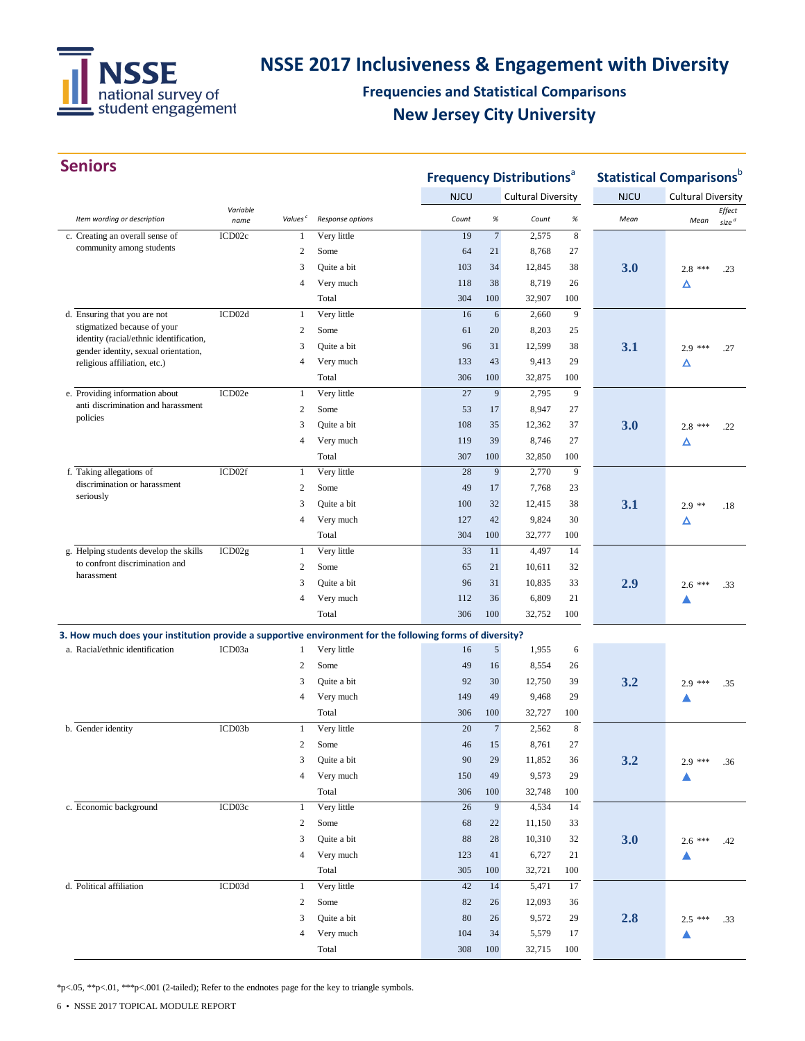

## **Frequencies and Statistical Comparisons New Jersey City University**

|  | <b>Seniors</b>                                                                                           |                  |                     |                  |             |                  | <b>Frequency Distributions<sup>a</sup></b> |                | <b>Statistical Comparisons</b> <sup>b</sup> |                           |                             |
|--|----------------------------------------------------------------------------------------------------------|------------------|---------------------|------------------|-------------|------------------|--------------------------------------------|----------------|---------------------------------------------|---------------------------|-----------------------------|
|  |                                                                                                          |                  |                     |                  | <b>NJCU</b> |                  | <b>Cultural Diversity</b>                  |                | <b>NJCU</b>                                 | <b>Cultural Diversity</b> |                             |
|  | Item wording or description                                                                              | Variable<br>name | Values <sup>c</sup> | Response options | Count       | $\%$             | Count                                      | $\%$           | Mean                                        | Mean                      | Effect<br>size <sup>d</sup> |
|  | c. Creating an overall sense of                                                                          | ICD02c           | $\mathbf{1}$        | Very little      | 19          | $\boldsymbol{7}$ | 2,575                                      | $\,8\,$        |                                             |                           |                             |
|  | community among students                                                                                 |                  | $\overline{2}$      | Some             | 64          | 21               | 8,768                                      | 27             |                                             |                           |                             |
|  |                                                                                                          |                  | 3                   | Quite a bit      | 103         | 34               | 12,845                                     | 38             | 3.0                                         | 2.8<br>***                | .23                         |
|  |                                                                                                          |                  | 4                   | Very much        | 118         | 38               | 8,719                                      | 26             |                                             | Δ                         |                             |
|  |                                                                                                          |                  |                     | Total            | 304         | 100              | 32,907                                     | 100            |                                             |                           |                             |
|  | d. Ensuring that you are not                                                                             | ICD02d           | $\mathbf{1}$        | Very little      | 16          | 6                | 2,660                                      | 9              |                                             |                           |                             |
|  | stigmatized because of your                                                                              |                  | $\overline{2}$      | Some             | 61          | 20               | 8,203                                      | 25             |                                             |                           |                             |
|  | identity (racial/ethnic identification,<br>gender identity, sexual orientation,                          |                  | 3                   | Quite a bit      | 96          | 31               | 12,599                                     | 38             | 3.1                                         | $2.9***$                  | .27                         |
|  | religious affiliation, etc.)                                                                             |                  | 4                   | Very much        | 133         | 43               | 9,413                                      | 29             |                                             | Δ                         |                             |
|  |                                                                                                          |                  |                     | Total            | 306         | 100              | 32,875                                     | 100            |                                             |                           |                             |
|  | e. Providing information about                                                                           | ICD02e           | $\mathbf{1}$        | Very little      | 27          | $\boldsymbol{9}$ | 2,795                                      | $\overline{9}$ |                                             |                           |                             |
|  | anti discrimination and harassment                                                                       |                  | $\overline{c}$      | Some             | 53          | 17               | 8,947                                      | 27             |                                             |                           |                             |
|  | policies                                                                                                 |                  | 3                   | Quite a bit      | 108         | 35               | 12,362                                     | 37             | 3.0                                         | 2.8<br>***                | .22                         |
|  |                                                                                                          |                  | 4                   | Very much        | 119         | 39               | 8,746                                      | 27             |                                             | Δ                         |                             |
|  |                                                                                                          |                  |                     | Total            | 307         | 100              | 32,850                                     | 100            |                                             |                           |                             |
|  | f. Taking allegations of                                                                                 | ICD02f           | $\mathbf{1}$        | Very little      | 28          | 9                | 2,770                                      | 9              |                                             |                           |                             |
|  | discrimination or harassment                                                                             |                  | $\overline{c}$      | Some             | 49          | 17               | 7,768                                      | 23             |                                             |                           |                             |
|  | seriously                                                                                                |                  | 3                   | Quite a bit      | 100         | 32               | 12,415                                     | 38             | 3.1                                         | $2.9$ **                  | .18                         |
|  |                                                                                                          |                  | 4                   | Very much        | 127         | 42               | 9,824                                      | 30             |                                             | Δ                         |                             |
|  |                                                                                                          |                  |                     | Total            | 304         | 100              | 32,777                                     | 100            |                                             |                           |                             |
|  | g. Helping students develop the skills                                                                   | ICD02g           | $\mathbf{1}$        | Very little      | 33          | 11               | 4,497                                      | 14             |                                             |                           |                             |
|  | to confront discrimination and                                                                           |                  | $\overline{c}$      | Some             | 65          | 21               | 10,611                                     | 32             |                                             |                           |                             |
|  | harassment                                                                                               |                  | 3                   | Quite a bit      | 96          | 31               | 10,835                                     | 33             | 2.9                                         | $2.6$ ***                 | .33                         |
|  |                                                                                                          |                  | 4                   | Very much        | 112         | 36               | 6,809                                      | 21             |                                             |                           |                             |
|  |                                                                                                          |                  |                     | Total            | 306         | 100              | 32,752                                     | 100            |                                             |                           |                             |
|  | 3. How much does your institution provide a supportive environment for the following forms of diversity? |                  |                     |                  |             |                  |                                            |                |                                             |                           |                             |
|  | a. Racial/ethnic identification                                                                          | ICD03a           | 1                   | Very little      | 16          | $\mathfrak{S}$   | 1,955                                      | 6              |                                             |                           |                             |
|  |                                                                                                          |                  | $\overline{c}$      | Some             | 49          | 16               | 8,554                                      | 26             |                                             |                           |                             |
|  |                                                                                                          |                  | 3                   | Quite a bit      | 92          | 30               | 12,750                                     | 39             | 3.2                                         | 2.9<br>***                | .35                         |
|  |                                                                                                          |                  | 4                   | Very much        | 149         | 49               | 9,468                                      | 29             |                                             |                           |                             |
|  |                                                                                                          |                  |                     | Total            | 306         | 100              | 32,727                                     | 100            |                                             |                           |                             |
|  | b. Gender identity                                                                                       | ICD03b           | $\mathbf{1}$        | Very little      | 20          | $7\phantom{.0}$  | 2,562                                      | 8              |                                             |                           |                             |
|  |                                                                                                          |                  | $\overline{c}$      | Some             | 46          | 15               | 8,761                                      | 27             |                                             |                           |                             |
|  |                                                                                                          |                  | 3                   | Quite a bit      | 90          | 29               | 11,852                                     | 36             | 3.2                                         | $2.9***$                  | .36                         |
|  |                                                                                                          |                  | $\overline{4}$      | Very much        | 150         | 49               | 9,573                                      | 29             |                                             |                           |                             |
|  |                                                                                                          |                  |                     | Total            | 306         | 100              | 32,748                                     | 100            |                                             |                           |                             |
|  | c. Economic background                                                                                   | ICD03c           | $\mathbf{1}$        | Very little      | 26          | 9                | 4,534                                      | 14             |                                             |                           |                             |
|  |                                                                                                          |                  | $\overline{c}$      | Some             | 68          | 22               | 11,150                                     | 33             |                                             |                           |                             |
|  |                                                                                                          |                  | 3                   | Quite a bit      | 88          | 28               | 10,310                                     | 32             | 3.0                                         | $2.6***$                  |                             |
|  |                                                                                                          |                  | 4                   | Very much        | 123         | 41               | 6,727                                      | 21             |                                             | ▲                         | .42                         |
|  |                                                                                                          |                  |                     | Total            | 305         | 100              | 32,721                                     | 100            |                                             |                           |                             |
|  | d. Political affiliation                                                                                 | ICD03d           | $\mathbf{1}$        | Very little      | 42          | 14               | 5,471                                      | 17             |                                             |                           |                             |
|  |                                                                                                          |                  | $\boldsymbol{2}$    | Some             | 82          | 26               | 12,093                                     | 36             |                                             |                           |                             |
|  |                                                                                                          |                  | 3                   | Quite a bit      | 80          | 26               | 9,572                                      | 29             | 2.8                                         |                           |                             |
|  |                                                                                                          |                  | 4                   | Very much        | 104         | 34               | 5,579                                      | 17             |                                             | $2.5$ ***                 | .33                         |
|  |                                                                                                          |                  |                     | Total            | 308         | 100              | 32,715                                     | 100            |                                             | ▲                         |                             |
|  |                                                                                                          |                  |                     |                  |             |                  |                                            |                |                                             |                           |                             |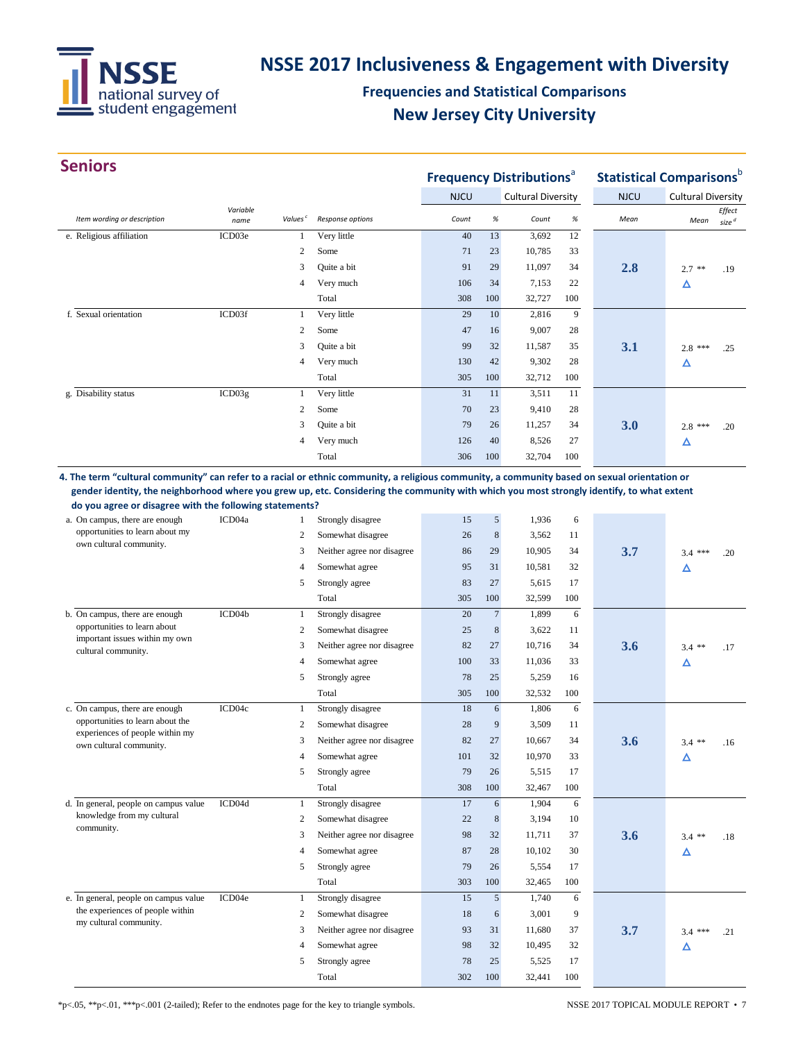

## **Frequencies and Statistical Comparisons New Jersey City University**

| <b>Seniors</b>                                                                                                               |                  | <b>Frequency Distributions<sup>a</sup></b> |                                              |             |                 | <b>Statistical Comparisons</b> b |            |             |                           |                             |
|------------------------------------------------------------------------------------------------------------------------------|------------------|--------------------------------------------|----------------------------------------------|-------------|-----------------|----------------------------------|------------|-------------|---------------------------|-----------------------------|
|                                                                                                                              |                  |                                            |                                              | <b>NJCU</b> |                 | <b>Cultural Diversity</b>        |            | <b>NJCU</b> | <b>Cultural Diversity</b> |                             |
| Item wording or description                                                                                                  | Variable<br>name | Values <sup>c</sup>                        | Response options                             | Count       | $\%$            | Count                            | $\%$       | Mean        | Mean                      | Effect<br>size <sup>d</sup> |
| e. Religious affiliation                                                                                                     | ICD03e           | $\mathbf{1}$                               | Very little                                  | 40          | 13              | 3,692                            | 12         |             |                           |                             |
|                                                                                                                              |                  | 2                                          | Some                                         | 71          | 23              | 10,785                           | 33         |             |                           |                             |
|                                                                                                                              |                  | 3                                          | Quite a bit                                  | 91          | 29              | 11,097                           | 34         | 2.8         | $2.7$ **                  | .19                         |
|                                                                                                                              |                  | 4                                          | Very much                                    | 106         | 34              | 7,153                            | 22         |             | Δ                         |                             |
|                                                                                                                              |                  |                                            | Total                                        | 308         | 100             | 32,727                           | 100        |             |                           |                             |
| f. Sexual orientation                                                                                                        | ICD03f           | $\mathbf{1}$                               | Very little                                  | 29          | 10              | 2,816                            | 9          |             |                           |                             |
|                                                                                                                              |                  | 2                                          | Some                                         | 47          | 16              | 9,007                            | 28         |             |                           |                             |
|                                                                                                                              |                  | 3                                          | Quite a bit                                  | 99          | 32              | 11,587                           | 35         | 3.1         | $2.8$ ***                 | .25                         |
|                                                                                                                              |                  | 4                                          | Very much                                    | 130         | 42              | 9,302                            | 28         |             | Δ                         |                             |
|                                                                                                                              |                  |                                            | Total                                        | 305         | 100             | 32,712                           | 100        |             |                           |                             |
| g. Disability status                                                                                                         | ICD03g           | 1                                          | Very little                                  | 31          | 11              | 3,511                            | 11         |             |                           |                             |
|                                                                                                                              |                  | 2                                          | Some                                         | 70          | 23              | 9,410                            | 28         |             |                           |                             |
|                                                                                                                              |                  | 3                                          | Quite a bit                                  | 79          | 26              | 11,257                           | 34         | 3.0         | 2.8<br>***                | .20                         |
|                                                                                                                              |                  | 4                                          | Very much                                    | 126         | 40              | 8,526                            | 27         |             | Δ                         |                             |
|                                                                                                                              |                  |                                            | Total                                        | 306         | 100             | 32,704                           | 100        |             |                           |                             |
| do you agree or disagree with the following statements?<br>a. On campus, there are enough<br>opportunities to learn about my | ICD04a           | $\mathbf{1}$<br>2                          | Strongly disagree<br>Somewhat disagree       | 15<br>26    | 5<br>$\,8\,$    | 1,936<br>3,562                   | 6<br>11    |             |                           |                             |
| own cultural community.                                                                                                      |                  |                                            |                                              |             |                 |                                  |            |             |                           |                             |
|                                                                                                                              |                  | 3<br>4                                     | Neither agree nor disagree<br>Somewhat agree | 86<br>95    | 29<br>31        | 10,905<br>10,581                 | 34<br>32   | 3.7         | $3.4$ ***                 | .20                         |
|                                                                                                                              |                  | 5                                          |                                              | 83          | 27              |                                  | 17         |             | Δ                         |                             |
|                                                                                                                              |                  |                                            | Strongly agree<br>Total                      | 305         | 100             | 5,615<br>32,599                  | 100        |             |                           |                             |
| b. On campus, there are enough                                                                                               | ICD04b           | $\mathbf{1}$                               | Strongly disagree                            | 20          | $\tau$          | 1,899                            | 6          |             |                           |                             |
| opportunities to learn about                                                                                                 |                  | 2                                          | Somewhat disagree                            | 25          | $\,8\,$         | 3,622                            | 11         |             |                           |                             |
| important issues within my own                                                                                               |                  | 3                                          | Neither agree nor disagree                   | 82          | 27              | 10,716                           | 34         | 3.6         |                           |                             |
| cultural community.                                                                                                          |                  | 4                                          | Somewhat agree                               | 100         | 33              | 11,036                           | 33         |             | $3.4$ **                  | .17                         |
|                                                                                                                              |                  | 5                                          | Strongly agree                               | 78          | 25              | 5,259                            | 16         |             | Δ                         |                             |
|                                                                                                                              |                  |                                            | Total                                        | 305         | 100             | 32,532                           | 100        |             |                           |                             |
| c. On campus, there are enough                                                                                               | ICD04c           | 1                                          | Strongly disagree                            | 18          | 6               | 1,806                            | 6          |             |                           |                             |
| opportunities to learn about the                                                                                             |                  | 2                                          | Somewhat disagree                            | 28          | 9               | 3,509                            | 11         |             |                           |                             |
| experiences of people within my                                                                                              |                  | 3                                          | Neither agree nor disagree                   | 82          | 27              | 10,667                           | 34         | 3.6         | $3.4$ **                  | .16                         |
| own cultural community.                                                                                                      |                  | 4                                          | Somewhat agree                               | 101         | 32              | 10,970                           | 33         |             | Δ                         |                             |
|                                                                                                                              |                  | 5                                          | Strongly agree                               | 79          | 26              | 5,515                            | 17         |             |                           |                             |
|                                                                                                                              |                  |                                            | Total                                        | 308         | 100             | 32,467                           | 100        |             |                           |                             |
| d. In general, people on campus value                                                                                        | ICD04d           | $\mathbf{1}$                               | Strongly disagree                            | 17          | 6               | 1,904                            | $\sqrt{6}$ |             |                           |                             |
| knowledge from my cultural                                                                                                   |                  | 2                                          | Somewhat disagree                            | 22          | $\,8\,$         | 3,194                            | 10         |             |                           |                             |
| community.                                                                                                                   |                  | 3                                          | Neither agree nor disagree                   | 98          | 32              | 11,711                           | 37         | 3.6         | $3.4$ **                  | .18                         |
|                                                                                                                              |                  | 4                                          | Somewhat agree                               | 87          | 28              | 10,102                           | 30         |             | Δ                         |                             |
|                                                                                                                              |                  | 5                                          | Strongly agree                               | 79          | 26              | 5,554                            | 17         |             |                           |                             |
|                                                                                                                              |                  |                                            | Total                                        | 303         | 100             | 32,465                           | 100        |             |                           |                             |
| e. In general, people on campus value                                                                                        | ICD04e           | 1                                          | Strongly disagree                            | 15          | $5\phantom{.0}$ | 1,740                            | $\sqrt{6}$ |             |                           |                             |

2 Somewhat disagree 18 6 3,001 9

Total 302 100 32,441 100

3 Neither agree nor disagree 93 31 11,680 37 3.7 3.4 <sup>\*\*\*</sup> .21<br>4 Somewhat agree 98 32 10,495 32 △ 4 Somewhat agree 98 32 10,495 32 △<br>5 Strongly agree 78 25 5,525 17

\*p<.05, \*\*p<.01, \*\*\*p<.001 (2-tailed); Refer to the endnotes page for the key to triangle symbols. NSSE 2017 TOPICAL MODULE REPORT • 7

the experiences of people within my cultural community.

5 Strongly agree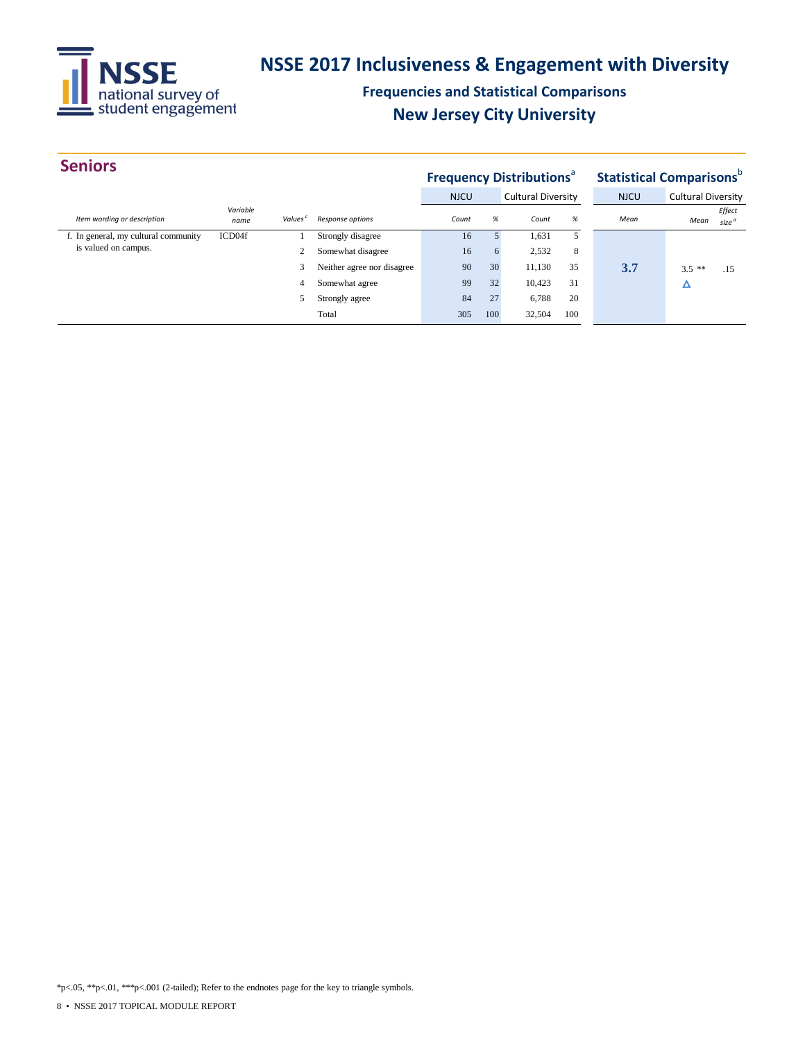

## **Frequencies and Statistical Comparisons New Jersey City University**

| <b>Seniors</b>                       |                  |                     |                            |             |                | <b>Frequency Distributions</b> <sup>a</sup> |     | <b>Statistical Comparisons</b> b |                           |                             |
|--------------------------------------|------------------|---------------------|----------------------------|-------------|----------------|---------------------------------------------|-----|----------------------------------|---------------------------|-----------------------------|
|                                      |                  |                     |                            | <b>NJCU</b> |                | <b>Cultural Diversity</b>                   |     | <b>NJCU</b>                      | <b>Cultural Diversity</b> |                             |
| Item wording or description          | Variable<br>name | Values <sup>c</sup> | Response options           | Count       | %              | Count                                       | %   | Mean                             | Mean                      | Effect<br>size <sup>d</sup> |
| f. In general, my cultural community | ICD04f           |                     | Strongly disagree          | 16          | 5 <sup>5</sup> | 1,631                                       | 5   |                                  |                           |                             |
| is valued on campus.                 |                  | $\overline{c}$      | Somewhat disagree          | 16          | 6              | 2,532                                       | 8   |                                  |                           |                             |
|                                      |                  | 3                   | Neither agree nor disagree | 90          | 30             | 11,130                                      | 35  | 3.7                              | $3.5$ **                  | .15                         |
|                                      |                  | 4                   | Somewhat agree             | 99          | 32             | 10,423                                      | 31  |                                  | Δ                         |                             |
|                                      |                  |                     | Strongly agree             | 84          | 27             | 6,788                                       | 20  |                                  |                           |                             |
|                                      |                  |                     | Total                      | 305         | 100            | 32,504                                      | 100 |                                  |                           |                             |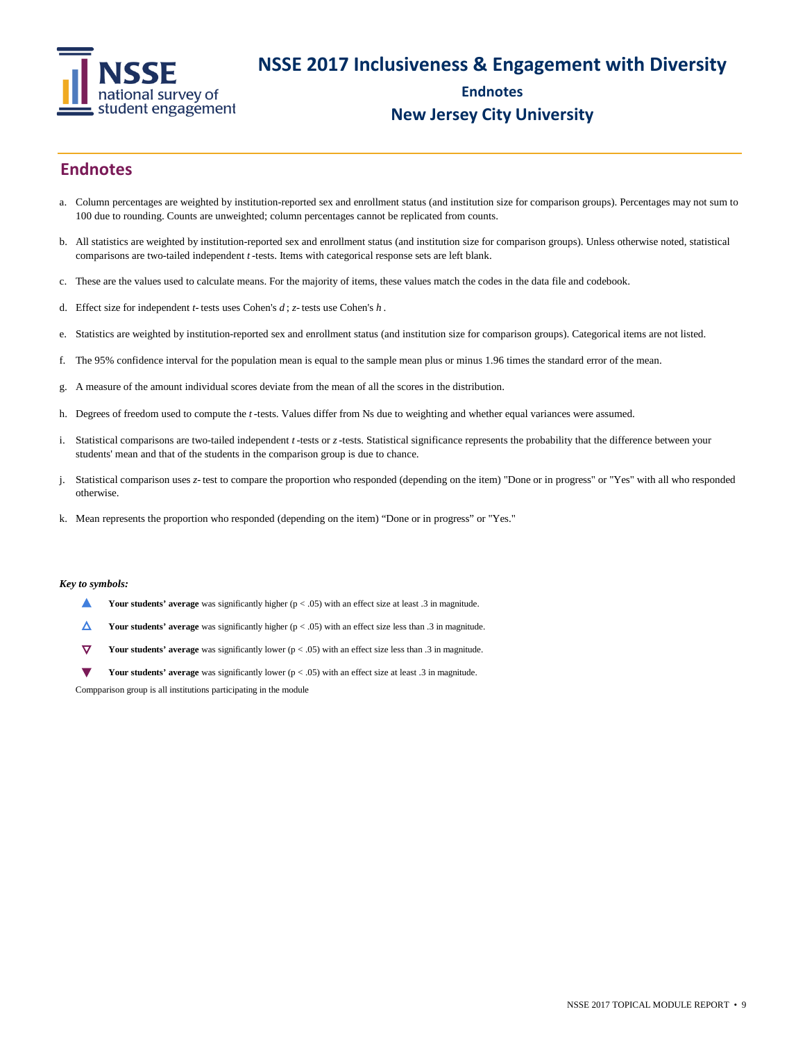

#### **Endnotes New Jersey City University**

#### **Endnotes**

- a. Column percentages are weighted by institution-reported sex and enrollment status (and institution size for comparison groups). Percentages may not sum to 100 due to rounding. Counts are unweighted; column percentages cannot be replicated from counts.
- b. All statistics are weighted by institution-reported sex and enrollment status (and institution size for comparison groups). Unless otherwise noted, statistical comparisons are two-tailed independent *t* -tests. Items with categorical response sets are left blank.
- c. These are the values used to calculate means. For the majority of items, these values match the codes in the data file and codebook.
- d. Effect size for independent *t-* tests uses Cohen's *d* ; *z-* tests use Cohen's *h* .
- e. Statistics are weighted by institution-reported sex and enrollment status (and institution size for comparison groups). Categorical items are not listed.
- f. The 95% confidence interval for the population mean is equal to the sample mean plus or minus 1.96 times the standard error of the mean.
- g. A measure of the amount individual scores deviate from the mean of all the scores in the distribution.
- h. Degrees of freedom used to compute the *t* -tests. Values differ from Ns due to weighting and whether equal variances were assumed.
- i. Statistical comparisons are two-tailed independent *t* -tests or *z*-tests. Statistical significance represents the probability that the difference between your students' mean and that of the students in the comparison group is due to chance.
- j. Statistical comparison uses *z-* test to compare the proportion who responded (depending on the item) "Done or in progress" or "Yes" with all who responded otherwise.
- k. Mean represents the proportion who responded (depending on the item) "Done or in progress" or "Yes."

#### *Key to symbols:*

- **A** Your students' average was significantly higher ( $p < .05$ ) with an effect size at least .3 in magnitude.
- Your students' average was significantly higher  $(p < .05)$  with an effect size less than .3 in magnitude.
- ▽ **Your students' average** was significantly lower (p < .05) with an effect size less than .3 in magnitude.
- Your students' average was significantly lower ( $p < .05$ ) with an effect size at least .3 in magnitude.

Compparison group is all institutions participating in the module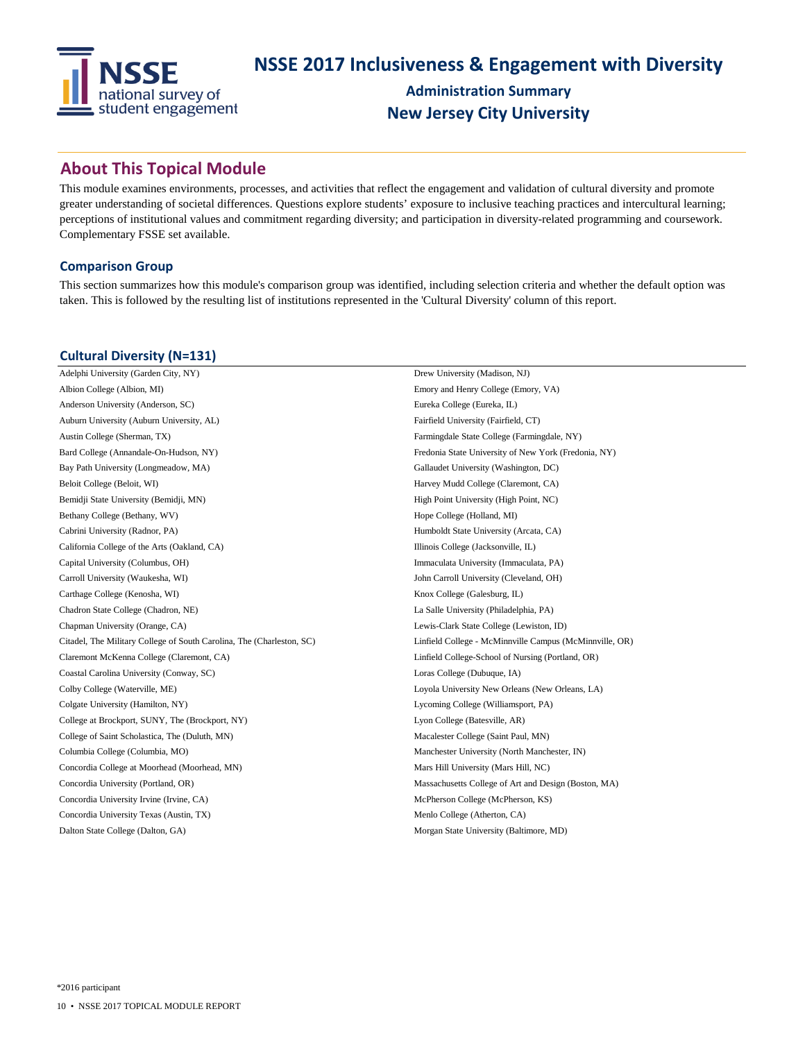

**Administration Summary New Jersey City University**

#### **About This Topical Module**

This module examines environments, processes, and activities that reflect the engagement and validation of cultural diversity and promote greater understanding of societal differences. Questions explore students' exposure to inclusive teaching practices and intercultural learning; perceptions of institutional values and commitment regarding diversity; and participation in diversity-related programming and coursework. Complementary FSSE set available.

#### **Comparison Group**

This section summarizes how this module's comparison group was identified, including selection criteria and whether the default option was taken. This is followed by the resulting list of institutions represented in the 'Cultural Diversity' column of this report.

#### **Cultural Diversity (N=131)**

| Adelphi University (Garden City, NY)                                  | Drew University (Madison, NJ)                           |
|-----------------------------------------------------------------------|---------------------------------------------------------|
| Albion College (Albion, MI)                                           | Emory and Henry College (Emory, VA)                     |
| Anderson University (Anderson, SC)                                    | Eureka College (Eureka, IL)                             |
| Auburn University (Auburn University, AL)                             | Fairfield University (Fairfield, CT)                    |
| Austin College (Sherman, TX)                                          | Farmingdale State College (Farmingdale, NY)             |
| Bard College (Annandale-On-Hudson, NY)                                | Fredonia State University of New York (Fredonia, NY)    |
| Bay Path University (Longmeadow, MA)                                  | Gallaudet University (Washington, DC)                   |
| Beloit College (Beloit, WI)                                           | Harvey Mudd College (Claremont, CA)                     |
| Bemidji State University (Bemidji, MN)                                | High Point University (High Point, NC)                  |
| Bethany College (Bethany, WV)                                         | Hope College (Holland, MI)                              |
| Cabrini University (Radnor, PA)                                       | Humboldt State University (Arcata, CA)                  |
| California College of the Arts (Oakland, CA)                          | Illinois College (Jacksonville, IL)                     |
| Capital University (Columbus, OH)                                     | Immaculata University (Immaculata, PA)                  |
| Carroll University (Waukesha, WI)                                     | John Carroll University (Cleveland, OH)                 |
| Carthage College (Kenosha, WI)                                        | Knox College (Galesburg, IL)                            |
| Chadron State College (Chadron, NE)                                   | La Salle University (Philadelphia, PA)                  |
| Chapman University (Orange, CA)                                       | Lewis-Clark State College (Lewiston, ID)                |
| Citadel, The Military College of South Carolina, The (Charleston, SC) | Linfield College - McMinnville Campus (McMinnville, OR) |
| Claremont McKenna College (Claremont, CA)                             | Linfield College-School of Nursing (Portland, OR)       |
| Coastal Carolina University (Conway, SC)                              | Loras College (Dubuque, IA)                             |
| Colby College (Waterville, ME)                                        | Loyola University New Orleans (New Orleans, LA)         |
| Colgate University (Hamilton, NY)                                     | Lycoming College (Williamsport, PA)                     |
| College at Brockport, SUNY, The (Brockport, NY)                       | Lyon College (Batesville, AR)                           |
| College of Saint Scholastica, The (Duluth, MN)                        | Macalester College (Saint Paul, MN)                     |
| Columbia College (Columbia, MO)                                       | Manchester University (North Manchester, IN)            |
| Concordia College at Moorhead (Moorhead, MN)                          | Mars Hill University (Mars Hill, NC)                    |
| Concordia University (Portland, OR)                                   | Massachusetts College of Art and Design (Boston, MA)    |
| Concordia University Irvine (Irvine, CA)                              | McPherson College (McPherson, KS)                       |
| Concordia University Texas (Austin, TX)                               | Menlo College (Atherton, CA)                            |
| Dalton State College (Dalton, GA)                                     | Morgan State University (Baltimore, MD)                 |
|                                                                       |                                                         |